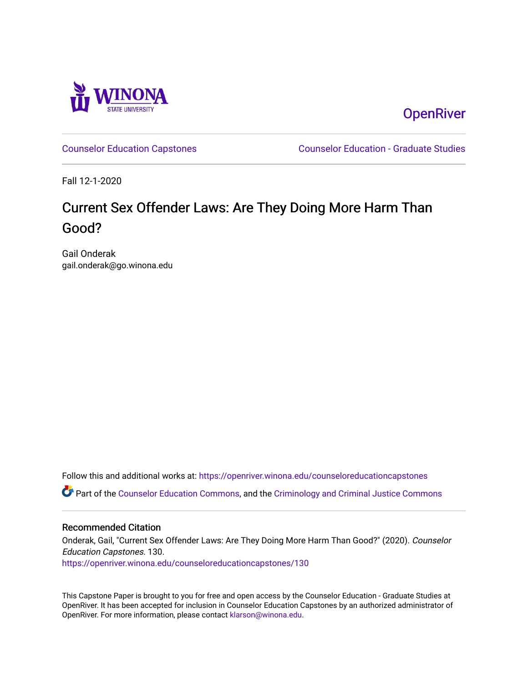

**OpenRiver** 

[Counselor Education Capstones](https://openriver.winona.edu/counseloreducationcapstones) [Counselor Education - Graduate Studies](https://openriver.winona.edu/counseloreducation) 

Fall 12-1-2020

# Current Sex Offender Laws: Are They Doing More Harm Than Good?

Gail Onderak gail.onderak@go.winona.edu

Follow this and additional works at: [https://openriver.winona.edu/counseloreducationcapstones](https://openriver.winona.edu/counseloreducationcapstones?utm_source=openriver.winona.edu%2Fcounseloreducationcapstones%2F130&utm_medium=PDF&utm_campaign=PDFCoverPages) Part of the [Counselor Education Commons,](http://network.bepress.com/hgg/discipline/1278?utm_source=openriver.winona.edu%2Fcounseloreducationcapstones%2F130&utm_medium=PDF&utm_campaign=PDFCoverPages) and the [Criminology and Criminal Justice Commons](http://network.bepress.com/hgg/discipline/367?utm_source=openriver.winona.edu%2Fcounseloreducationcapstones%2F130&utm_medium=PDF&utm_campaign=PDFCoverPages) 

#### Recommended Citation

Onderak, Gail, "Current Sex Offender Laws: Are They Doing More Harm Than Good?" (2020). Counselor Education Capstones. 130. [https://openriver.winona.edu/counseloreducationcapstones/130](https://openriver.winona.edu/counseloreducationcapstones/130?utm_source=openriver.winona.edu%2Fcounseloreducationcapstones%2F130&utm_medium=PDF&utm_campaign=PDFCoverPages)

This Capstone Paper is brought to you for free and open access by the Counselor Education - Graduate Studies at OpenRiver. It has been accepted for inclusion in Counselor Education Capstones by an authorized administrator of OpenRiver. For more information, please contact [klarson@winona.edu](mailto:klarson@winona.edu).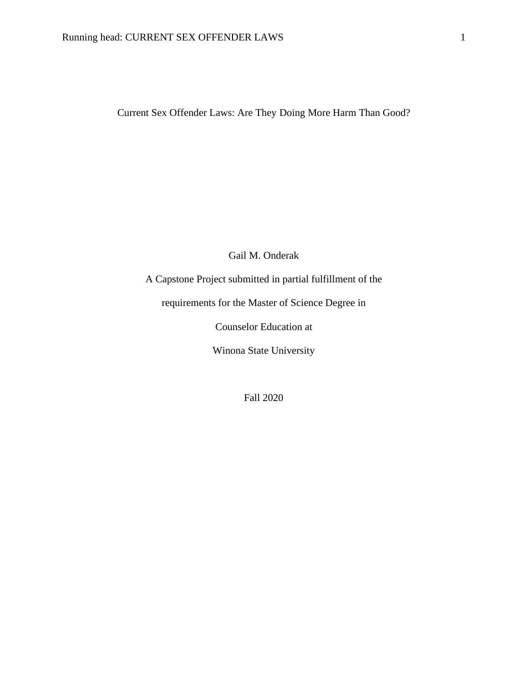Current Sex Offender Laws: Are They Doing More Harm Than Good?

Gail M. Onderak

A Capstone Project submitted in partial fulfillment of the

requirements for the Master of Science Degree in

Counselor Education at

Winona State University

Fall 2020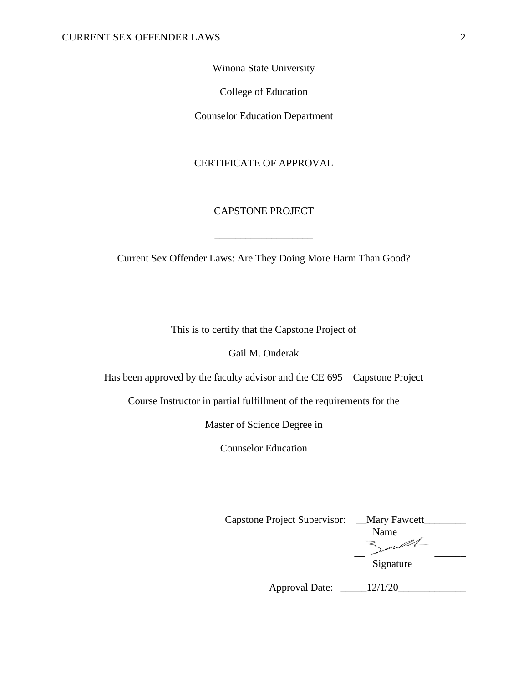Winona State University

College of Education

Counselor Education Department

### CERTIFICATE OF APPROVAL

\_\_\_\_\_\_\_\_\_\_\_\_\_\_\_\_\_\_\_\_\_\_\_\_\_\_

# CAPSTONE PROJECT

\_\_\_\_\_\_\_\_\_\_\_\_\_\_\_\_\_\_\_

Current Sex Offender Laws: Are They Doing More Harm Than Good?

This is to certify that the Capstone Project of

Gail M. Onderak

Has been approved by the faculty advisor and the CE 695 – Capstone Project

Course Instructor in partial fulfillment of the requirements for the

Master of Science Degree in

Counselor Education

Capstone Project Supervisor: \_\_Mary Fawcett\_\_\_\_\_\_\_\_ Name 3 pt

Signature

Approval Date: \_\_\_\_\_12/1/20\_\_\_\_\_\_\_\_\_\_\_\_\_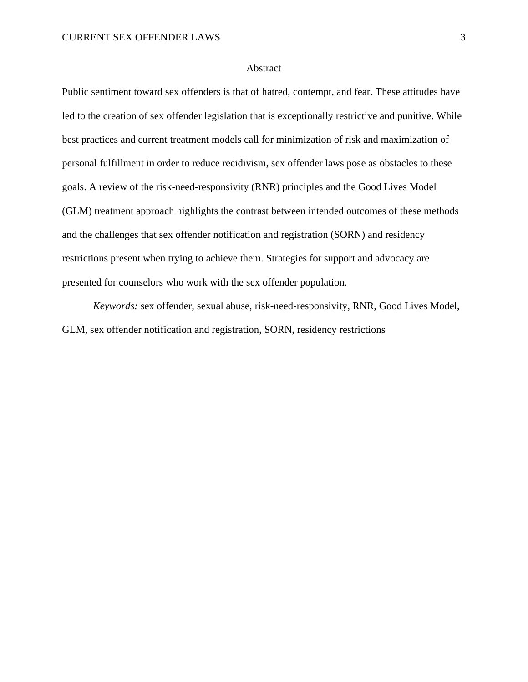#### **Abstract**

Public sentiment toward sex offenders is that of hatred, contempt, and fear. These attitudes have led to the creation of sex offender legislation that is exceptionally restrictive and punitive. While best practices and current treatment models call for minimization of risk and maximization of personal fulfillment in order to reduce recidivism, sex offender laws pose as obstacles to these goals. A review of the risk-need-responsivity (RNR) principles and the Good Lives Model (GLM) treatment approach highlights the contrast between intended outcomes of these methods and the challenges that sex offender notification and registration (SORN) and residency restrictions present when trying to achieve them. Strategies for support and advocacy are presented for counselors who work with the sex offender population.

*Keywords:* sex offender, sexual abuse, risk-need-responsivity, RNR, Good Lives Model, GLM, sex offender notification and registration, SORN, residency restrictions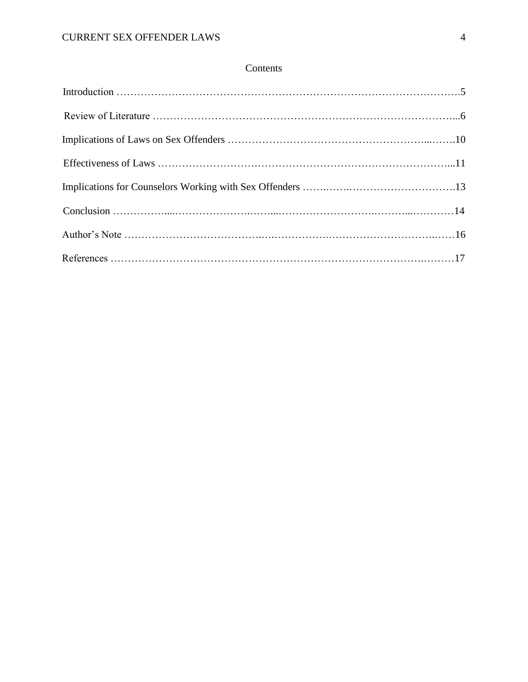# Contents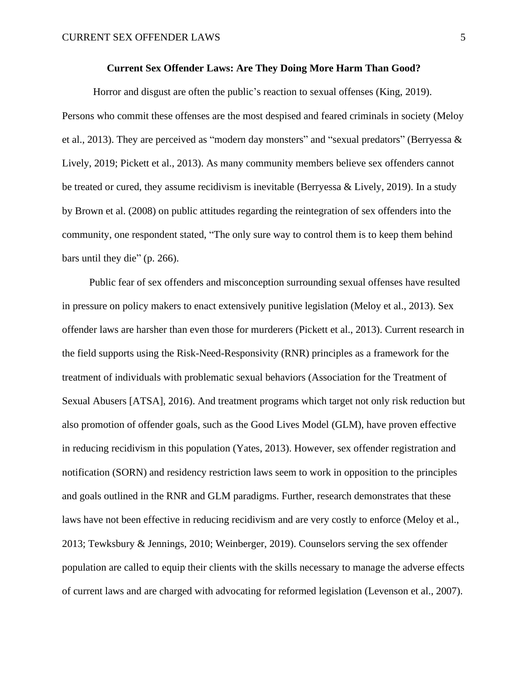#### **Current Sex Offender Laws: Are They Doing More Harm Than Good?**

Horror and disgust are often the public's reaction to sexual offenses (King, 2019). Persons who commit these offenses are the most despised and feared criminals in society (Meloy et al., 2013). They are perceived as "modern day monsters" and "sexual predators" (Berryessa & Lively, 2019; Pickett et al., 2013). As many community members believe sex offenders cannot be treated or cured, they assume recidivism is inevitable (Berryessa & Lively, 2019). In a study by Brown et al. (2008) on public attitudes regarding the reintegration of sex offenders into the community, one respondent stated, "The only sure way to control them is to keep them behind bars until they die" (p. 266).

Public fear of sex offenders and misconception surrounding sexual offenses have resulted in pressure on policy makers to enact extensively punitive legislation (Meloy et al., 2013). Sex offender laws are harsher than even those for murderers (Pickett et al., 2013). Current research in the field supports using the Risk-Need-Responsivity (RNR) principles as a framework for the treatment of individuals with problematic sexual behaviors (Association for the Treatment of Sexual Abusers [ATSA], 2016). And treatment programs which target not only risk reduction but also promotion of offender goals, such as the Good Lives Model (GLM), have proven effective in reducing recidivism in this population (Yates, 2013). However, sex offender registration and notification (SORN) and residency restriction laws seem to work in opposition to the principles and goals outlined in the RNR and GLM paradigms. Further, research demonstrates that these laws have not been effective in reducing recidivism and are very costly to enforce (Meloy et al., 2013; Tewksbury & Jennings, 2010; Weinberger, 2019). Counselors serving the sex offender population are called to equip their clients with the skills necessary to manage the adverse effects of current laws and are charged with advocating for reformed legislation (Levenson et al., 2007).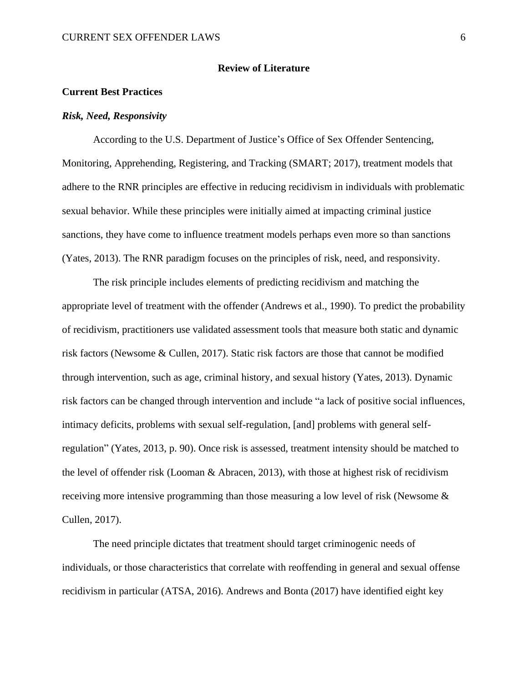#### **Review of Literature**

#### **Current Best Practices**

#### *Risk, Need, Responsivity*

According to the U.S. Department of Justice's Office of Sex Offender Sentencing, Monitoring, Apprehending, Registering, and Tracking (SMART; 2017), treatment models that adhere to the RNR principles are effective in reducing recidivism in individuals with problematic sexual behavior. While these principles were initially aimed at impacting criminal justice sanctions, they have come to influence treatment models perhaps even more so than sanctions (Yates, 2013). The RNR paradigm focuses on the principles of risk, need, and responsivity.

The risk principle includes elements of predicting recidivism and matching the appropriate level of treatment with the offender (Andrews et al., 1990). To predict the probability of recidivism, practitioners use validated assessment tools that measure both static and dynamic risk factors (Newsome & Cullen, 2017). Static risk factors are those that cannot be modified through intervention, such as age, criminal history, and sexual history (Yates, 2013). Dynamic risk factors can be changed through intervention and include "a lack of positive social influences, intimacy deficits, problems with sexual self-regulation, [and] problems with general selfregulation" (Yates, 2013, p. 90). Once risk is assessed, treatment intensity should be matched to the level of offender risk (Looman & Abracen, 2013), with those at highest risk of recidivism receiving more intensive programming than those measuring a low level of risk (Newsome & Cullen, 2017).

The need principle dictates that treatment should target criminogenic needs of individuals, or those characteristics that correlate with reoffending in general and sexual offense recidivism in particular (ATSA, 2016). Andrews and Bonta (2017) have identified eight key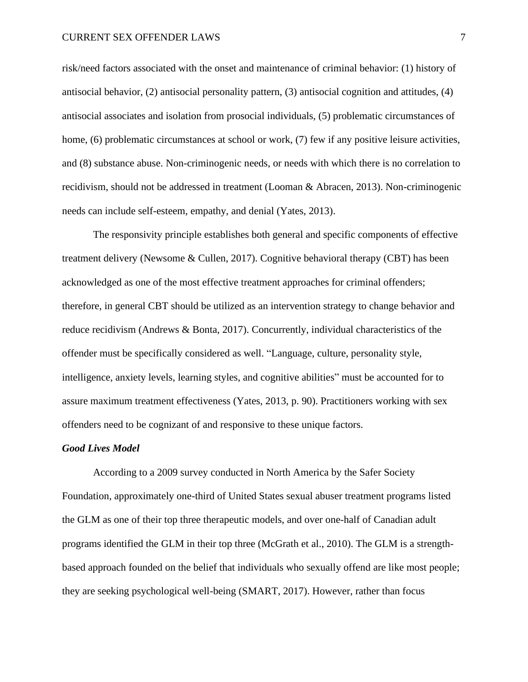#### CURRENT SEX OFFENDER LAWS 7

risk/need factors associated with the onset and maintenance of criminal behavior: (1) history of antisocial behavior, (2) antisocial personality pattern, (3) antisocial cognition and attitudes, (4) antisocial associates and isolation from prosocial individuals, (5) problematic circumstances of home, (6) problematic circumstances at school or work, (7) few if any positive leisure activities, and (8) substance abuse. Non-criminogenic needs, or needs with which there is no correlation to recidivism, should not be addressed in treatment (Looman & Abracen, 2013). Non-criminogenic needs can include self-esteem, empathy, and denial (Yates, 2013).

The responsivity principle establishes both general and specific components of effective treatment delivery (Newsome & Cullen, 2017). Cognitive behavioral therapy (CBT) has been acknowledged as one of the most effective treatment approaches for criminal offenders; therefore, in general CBT should be utilized as an intervention strategy to change behavior and reduce recidivism (Andrews & Bonta, 2017). Concurrently, individual characteristics of the offender must be specifically considered as well. "Language, culture, personality style, intelligence, anxiety levels, learning styles, and cognitive abilities" must be accounted for to assure maximum treatment effectiveness (Yates, 2013, p. 90). Practitioners working with sex offenders need to be cognizant of and responsive to these unique factors.

#### *Good Lives Model*

According to a 2009 survey conducted in North America by the Safer Society Foundation, approximately one-third of United States sexual abuser treatment programs listed the GLM as one of their top three therapeutic models, and over one-half of Canadian adult programs identified the GLM in their top three (McGrath et al., 2010). The GLM is a strengthbased approach founded on the belief that individuals who sexually offend are like most people; they are seeking psychological well-being (SMART, 2017). However, rather than focus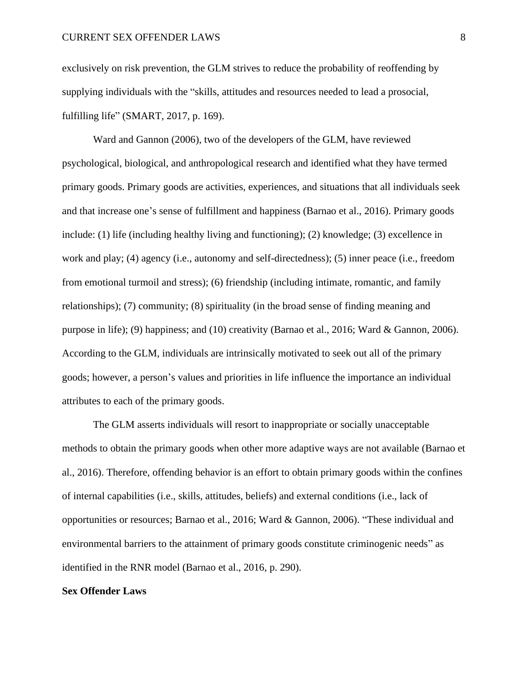exclusively on risk prevention, the GLM strives to reduce the probability of reoffending by supplying individuals with the "skills, attitudes and resources needed to lead a prosocial, fulfilling life" (SMART, 2017, p. 169).

Ward and Gannon (2006), two of the developers of the GLM, have reviewed psychological, biological, and anthropological research and identified what they have termed primary goods. Primary goods are activities, experiences, and situations that all individuals seek and that increase one's sense of fulfillment and happiness (Barnao et al., 2016). Primary goods include: (1) life (including healthy living and functioning); (2) knowledge; (3) excellence in work and play; (4) agency (i.e., autonomy and self-directedness); (5) inner peace (i.e., freedom from emotional turmoil and stress); (6) friendship (including intimate, romantic, and family relationships); (7) community; (8) spirituality (in the broad sense of finding meaning and purpose in life); (9) happiness; and (10) creativity (Barnao et al., 2016; Ward & Gannon, 2006). According to the GLM, individuals are intrinsically motivated to seek out all of the primary goods; however, a person's values and priorities in life influence the importance an individual attributes to each of the primary goods.

The GLM asserts individuals will resort to inappropriate or socially unacceptable methods to obtain the primary goods when other more adaptive ways are not available (Barnao et al., 2016). Therefore, offending behavior is an effort to obtain primary goods within the confines of internal capabilities (i.e., skills, attitudes, beliefs) and external conditions (i.e., lack of opportunities or resources; Barnao et al., 2016; Ward & Gannon, 2006). "These individual and environmental barriers to the attainment of primary goods constitute criminogenic needs" as identified in the RNR model (Barnao et al., 2016, p. 290).

#### **Sex Offender Laws**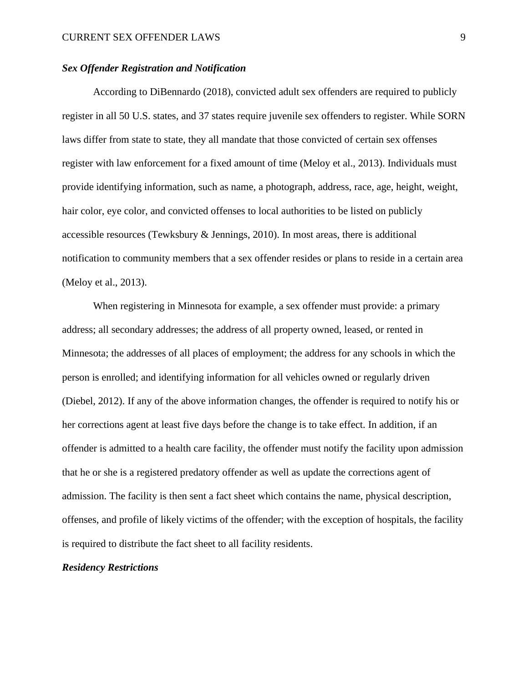#### *Sex Offender Registration and Notification*

According to DiBennardo (2018), convicted adult sex offenders are required to publicly register in all 50 U.S. states, and 37 states require juvenile sex offenders to register. While SORN laws differ from state to state, they all mandate that those convicted of certain sex offenses register with law enforcement for a fixed amount of time (Meloy et al., 2013). Individuals must provide identifying information, such as name, a photograph, address, race, age, height, weight, hair color, eye color, and convicted offenses to local authorities to be listed on publicly accessible resources (Tewksbury & Jennings, 2010). In most areas, there is additional notification to community members that a sex offender resides or plans to reside in a certain area (Meloy et al., 2013).

When registering in Minnesota for example, a sex offender must provide: a primary address; all secondary addresses; the address of all property owned, leased, or rented in Minnesota; the addresses of all places of employment; the address for any schools in which the person is enrolled; and identifying information for all vehicles owned or regularly driven (Diebel, 2012). If any of the above information changes, the offender is required to notify his or her corrections agent at least five days before the change is to take effect. In addition, if an offender is admitted to a health care facility, the offender must notify the facility upon admission that he or she is a registered predatory offender as well as update the corrections agent of admission. The facility is then sent a fact sheet which contains the name, physical description, offenses, and profile of likely victims of the offender; with the exception of hospitals, the facility is required to distribute the fact sheet to all facility residents.

#### *Residency Restrictions*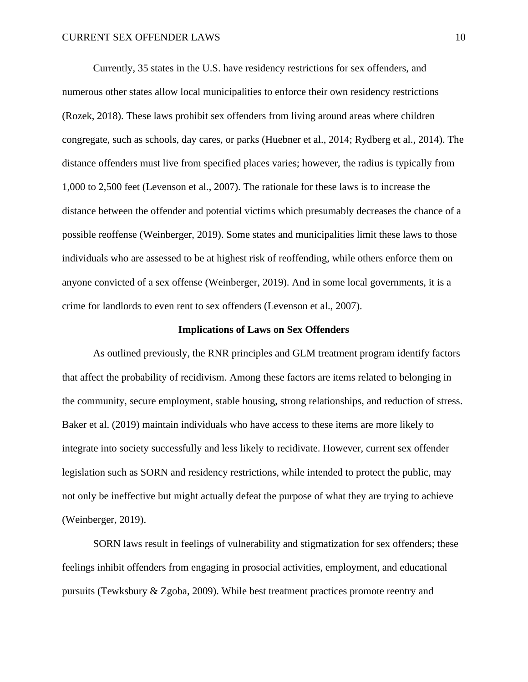Currently, 35 states in the U.S. have residency restrictions for sex offenders, and numerous other states allow local municipalities to enforce their own residency restrictions (Rozek, 2018). These laws prohibit sex offenders from living around areas where children congregate, such as schools, day cares, or parks (Huebner et al., 2014; Rydberg et al., 2014). The distance offenders must live from specified places varies; however, the radius is typically from 1,000 to 2,500 feet (Levenson et al., 2007). The rationale for these laws is to increase the distance between the offender and potential victims which presumably decreases the chance of a possible reoffense (Weinberger, 2019). Some states and municipalities limit these laws to those individuals who are assessed to be at highest risk of reoffending, while others enforce them on anyone convicted of a sex offense (Weinberger, 2019). And in some local governments, it is a crime for landlords to even rent to sex offenders (Levenson et al., 2007).

#### **Implications of Laws on Sex Offenders**

As outlined previously, the RNR principles and GLM treatment program identify factors that affect the probability of recidivism. Among these factors are items related to belonging in the community, secure employment, stable housing, strong relationships, and reduction of stress. Baker et al. (2019) maintain individuals who have access to these items are more likely to integrate into society successfully and less likely to recidivate. However, current sex offender legislation such as SORN and residency restrictions, while intended to protect the public, may not only be ineffective but might actually defeat the purpose of what they are trying to achieve (Weinberger, 2019).

SORN laws result in feelings of vulnerability and stigmatization for sex offenders; these feelings inhibit offenders from engaging in prosocial activities, employment, and educational pursuits (Tewksbury & Zgoba, 2009). While best treatment practices promote reentry and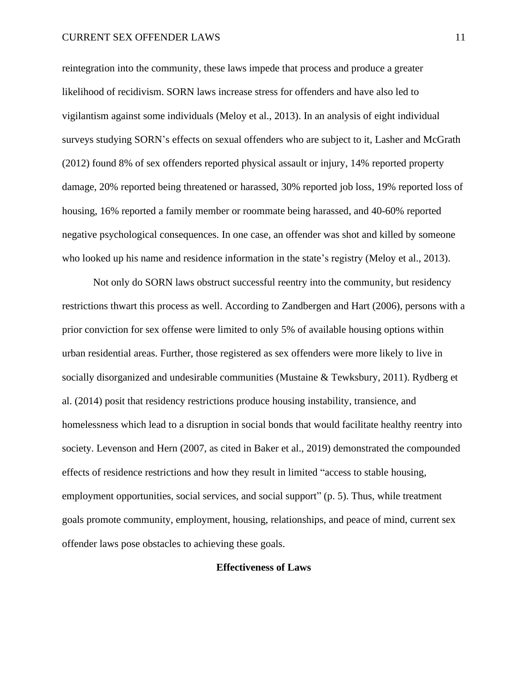#### CURRENT SEX OFFENDER LAWS 11

reintegration into the community, these laws impede that process and produce a greater likelihood of recidivism. SORN laws increase stress for offenders and have also led to vigilantism against some individuals (Meloy et al., 2013). In an analysis of eight individual surveys studying SORN's effects on sexual offenders who are subject to it, Lasher and McGrath (2012) found 8% of sex offenders reported physical assault or injury, 14% reported property damage, 20% reported being threatened or harassed, 30% reported job loss, 19% reported loss of housing, 16% reported a family member or roommate being harassed, and 40-60% reported negative psychological consequences. In one case, an offender was shot and killed by someone who looked up his name and residence information in the state's registry (Meloy et al., 2013).

Not only do SORN laws obstruct successful reentry into the community, but residency restrictions thwart this process as well. According to Zandbergen and Hart (2006), persons with a prior conviction for sex offense were limited to only 5% of available housing options within urban residential areas. Further, those registered as sex offenders were more likely to live in socially disorganized and undesirable communities (Mustaine & Tewksbury, 2011). Rydberg et al. (2014) posit that residency restrictions produce housing instability, transience, and homelessness which lead to a disruption in social bonds that would facilitate healthy reentry into society. Levenson and Hern (2007, as cited in Baker et al., 2019) demonstrated the compounded effects of residence restrictions and how they result in limited "access to stable housing, employment opportunities, social services, and social support" (p. 5). Thus, while treatment goals promote community, employment, housing, relationships, and peace of mind, current sex offender laws pose obstacles to achieving these goals.

#### **Effectiveness of Laws**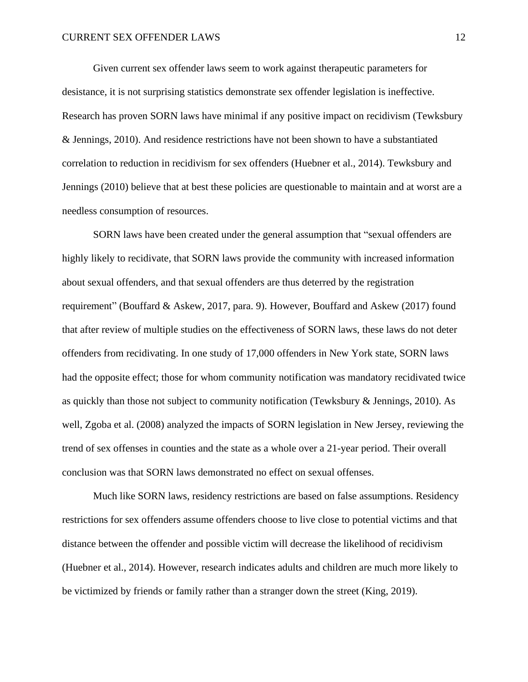Given current sex offender laws seem to work against therapeutic parameters for desistance, it is not surprising statistics demonstrate sex offender legislation is ineffective. Research has proven SORN laws have minimal if any positive impact on recidivism (Tewksbury & Jennings, 2010). And residence restrictions have not been shown to have a substantiated correlation to reduction in recidivism for sex offenders (Huebner et al., 2014). Tewksbury and Jennings (2010) believe that at best these policies are questionable to maintain and at worst are a needless consumption of resources.

SORN laws have been created under the general assumption that "sexual offenders are highly likely to recidivate, that SORN laws provide the community with increased information about sexual offenders, and that sexual offenders are thus deterred by the registration requirement" (Bouffard & Askew, 2017, para. 9). However, Bouffard and Askew (2017) found that after review of multiple studies on the effectiveness of SORN laws, these laws do not deter offenders from recidivating. In one study of 17,000 offenders in New York state, SORN laws had the opposite effect; those for whom community notification was mandatory recidivated twice as quickly than those not subject to community notification (Tewksbury & Jennings, 2010). As well, Zgoba et al. (2008) analyzed the impacts of SORN legislation in New Jersey, reviewing the trend of sex offenses in counties and the state as a whole over a 21-year period. Their overall conclusion was that SORN laws demonstrated no effect on sexual offenses.

Much like SORN laws, residency restrictions are based on false assumptions. Residency restrictions for sex offenders assume offenders choose to live close to potential victims and that distance between the offender and possible victim will decrease the likelihood of recidivism (Huebner et al., 2014). However, research indicates adults and children are much more likely to be victimized by friends or family rather than a stranger down the street (King, 2019).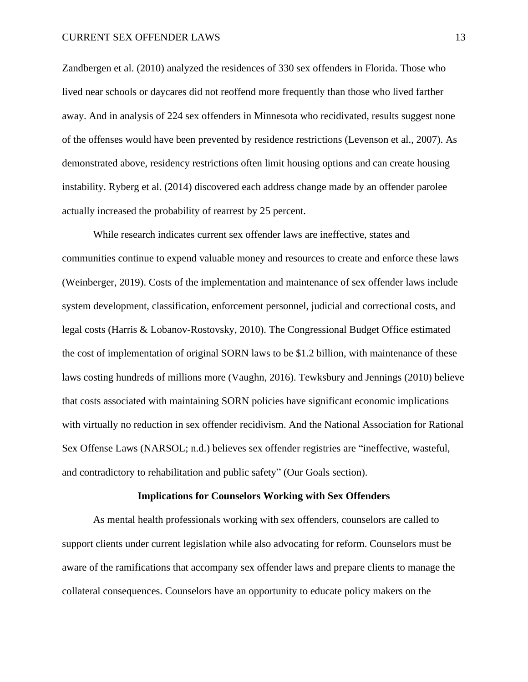Zandbergen et al. (2010) analyzed the residences of 330 sex offenders in Florida. Those who lived near schools or daycares did not reoffend more frequently than those who lived farther away. And in analysis of 224 sex offenders in Minnesota who recidivated, results suggest none of the offenses would have been prevented by residence restrictions (Levenson et al., 2007). As demonstrated above, residency restrictions often limit housing options and can create housing instability. Ryberg et al. (2014) discovered each address change made by an offender parolee actually increased the probability of rearrest by 25 percent.

While research indicates current sex offender laws are ineffective, states and communities continue to expend valuable money and resources to create and enforce these laws (Weinberger, 2019). Costs of the implementation and maintenance of sex offender laws include system development, classification, enforcement personnel, judicial and correctional costs, and legal costs (Harris & Lobanov-Rostovsky, 2010). The Congressional Budget Office estimated the cost of implementation of original SORN laws to be \$1.2 billion, with maintenance of these laws costing hundreds of millions more (Vaughn, 2016). Tewksbury and Jennings (2010) believe that costs associated with maintaining SORN policies have significant economic implications with virtually no reduction in sex offender recidivism. And the National Association for Rational Sex Offense Laws (NARSOL; n.d.) believes sex offender registries are "ineffective, wasteful, and contradictory to rehabilitation and public safety" (Our Goals section).

#### **Implications for Counselors Working with Sex Offenders**

As mental health professionals working with sex offenders, counselors are called to support clients under current legislation while also advocating for reform. Counselors must be aware of the ramifications that accompany sex offender laws and prepare clients to manage the collateral consequences. Counselors have an opportunity to educate policy makers on the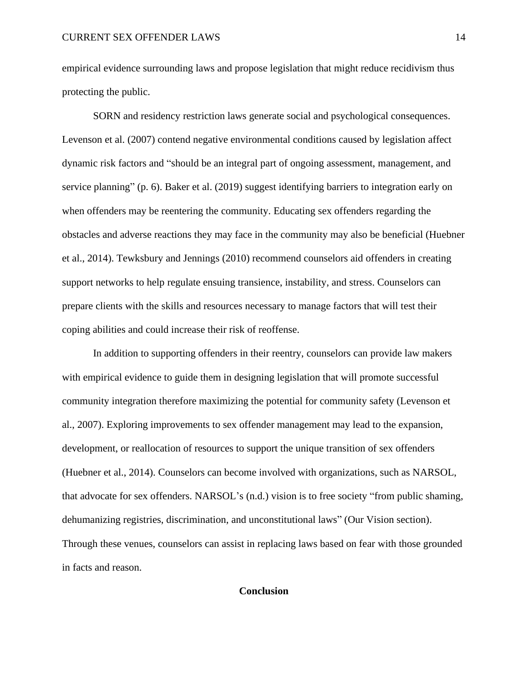empirical evidence surrounding laws and propose legislation that might reduce recidivism thus protecting the public.

SORN and residency restriction laws generate social and psychological consequences. Levenson et al. (2007) contend negative environmental conditions caused by legislation affect dynamic risk factors and "should be an integral part of ongoing assessment, management, and service planning" (p. 6). Baker et al. (2019) suggest identifying barriers to integration early on when offenders may be reentering the community. Educating sex offenders regarding the obstacles and adverse reactions they may face in the community may also be beneficial (Huebner et al., 2014). Tewksbury and Jennings (2010) recommend counselors aid offenders in creating support networks to help regulate ensuing transience, instability, and stress. Counselors can prepare clients with the skills and resources necessary to manage factors that will test their coping abilities and could increase their risk of reoffense.

In addition to supporting offenders in their reentry, counselors can provide law makers with empirical evidence to guide them in designing legislation that will promote successful community integration therefore maximizing the potential for community safety (Levenson et al., 2007). Exploring improvements to sex offender management may lead to the expansion, development, or reallocation of resources to support the unique transition of sex offenders (Huebner et al., 2014). Counselors can become involved with organizations, such as NARSOL, that advocate for sex offenders. NARSOL's (n.d.) vision is to free society "from public shaming, dehumanizing registries, discrimination, and unconstitutional laws" (Our Vision section). Through these venues, counselors can assist in replacing laws based on fear with those grounded in facts and reason.

# **Conclusion**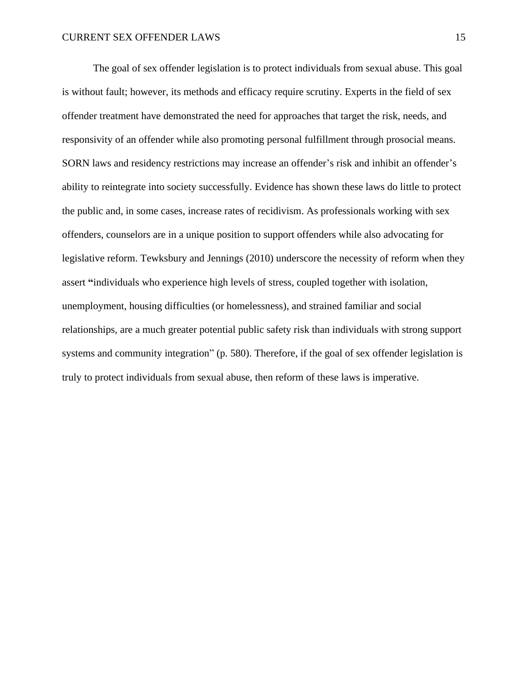The goal of sex offender legislation is to protect individuals from sexual abuse. This goal is without fault; however, its methods and efficacy require scrutiny. Experts in the field of sex offender treatment have demonstrated the need for approaches that target the risk, needs, and responsivity of an offender while also promoting personal fulfillment through prosocial means. SORN laws and residency restrictions may increase an offender's risk and inhibit an offender's ability to reintegrate into society successfully. Evidence has shown these laws do little to protect the public and, in some cases, increase rates of recidivism. As professionals working with sex offenders, counselors are in a unique position to support offenders while also advocating for legislative reform. Tewksbury and Jennings (2010) underscore the necessity of reform when they assert **"**individuals who experience high levels of stress, coupled together with isolation, unemployment, housing difficulties (or homelessness), and strained familiar and social relationships, are a much greater potential public safety risk than individuals with strong support systems and community integration" (p. 580). Therefore, if the goal of sex offender legislation is truly to protect individuals from sexual abuse, then reform of these laws is imperative.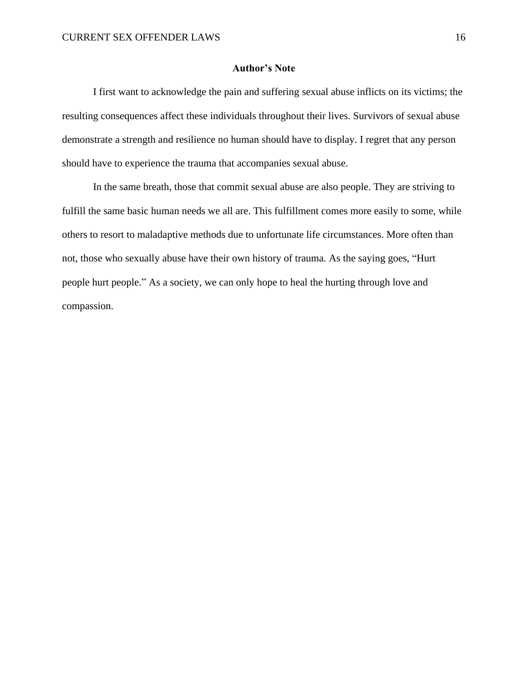#### **Author's Note**

I first want to acknowledge the pain and suffering sexual abuse inflicts on its victims; the resulting consequences affect these individuals throughout their lives. Survivors of sexual abuse demonstrate a strength and resilience no human should have to display. I regret that any person should have to experience the trauma that accompanies sexual abuse.

In the same breath, those that commit sexual abuse are also people. They are striving to fulfill the same basic human needs we all are. This fulfillment comes more easily to some, while others to resort to maladaptive methods due to unfortunate life circumstances. More often than not, those who sexually abuse have their own history of trauma. As the saying goes, "Hurt people hurt people." As a society, we can only hope to heal the hurting through love and compassion.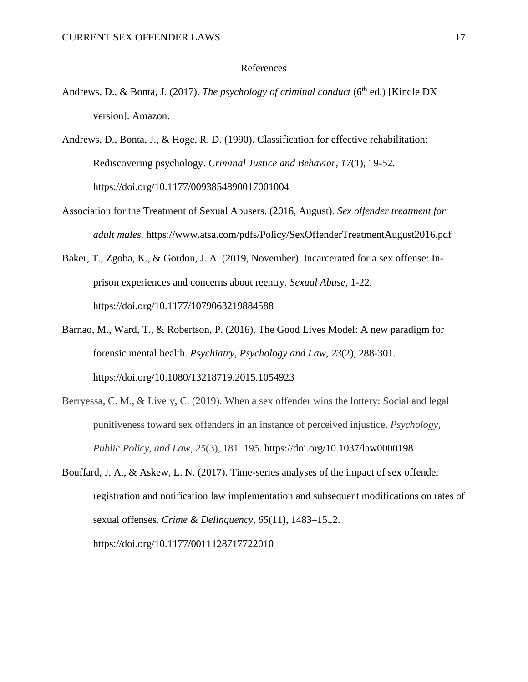#### References

- Andrews, D., & Bonta, J. (2017). *The psychology of criminal conduct* (6<sup>th</sup> ed.) [Kindle DX version]. Amazon.
- Andrews, D., Bonta, J., & Hoge, R. D. (1990). Classification for effective rehabilitation: Rediscovering psychology. *Criminal Justice and Behavior, 17*(1), 19-52. https://doi.org/10.1177/0093854890017001004
- Association for the Treatment of Sexual Abusers. (2016, August). *Sex offender treatment for adult males.* https://www.atsa.com/pdfs/Policy/SexOffenderTreatmentAugust2016.pdf
- Baker, T., Zgoba, K., & Gordon, J. A. (2019, November). Incarcerated for a sex offense: Inprison experiences and concerns about reentry. *Sexual Abuse,* 1-22. https://doi.org/10.1177/1079063219884588
- Barnao, M., Ward, T., & Robertson, P. (2016). The Good Lives Model: A new paradigm for forensic mental health. *Psychiatry, Psychology and Law, 23*(2), 288-301. https://doi.org/10.1080/13218719.2015.1054923
- Berryessa, C. M., & Lively, C. (2019). When a sex offender wins the lottery: Social and legal punitiveness toward sex offenders in an instance of perceived injustice. *Psychology, Public Policy, and Law, 25*(3), 181–195. https://doi.org/10.1037/law0000198
- Bouffard, J. A., & Askew, L. N. (2017). Time-series analyses of the impact of sex offender registration and notification law implementation and subsequent modifications on rates of sexual offenses. *Crime & Delinquency, 65*(11), 1483–1512. https://doi.org/10.1177/0011128717722010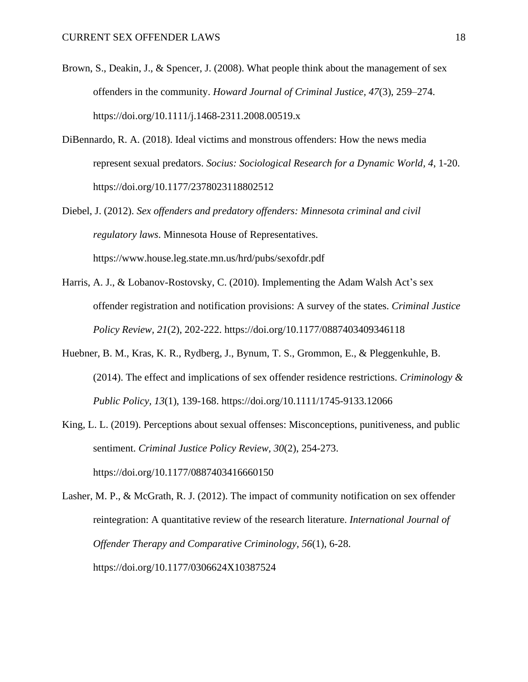- Brown, S., Deakin, J., & Spencer, J. (2008). What people think about the management of sex offenders in the community. *Howard Journal of Criminal Justice, 47*(3), 259–274. https://doi.org/10.1111/j.1468-2311.2008.00519.x
- DiBennardo, R. A. (2018). Ideal victims and monstrous offenders: How the news media represent sexual predators. *Socius: Sociological Research for a Dynamic World, 4*, 1-20. https://doi.org/10.1177/2378023118802512
- Diebel, J. (2012). *Sex offenders and predatory offenders: Minnesota criminal and civil regulatory laws*. Minnesota House of Representatives. https://www.house.leg.state.mn.us/hrd/pubs/sexofdr.pdf
- Harris, A. J., & Lobanov-Rostovsky, C. (2010). Implementing the Adam Walsh Act's sex offender registration and notification provisions: A survey of the states. *Criminal Justice Policy Review, 21*(2), 202-222. https://doi.org/10.1177/0887403409346118
- Huebner, B. M., Kras, K. R., Rydberg, J., Bynum, T. S., Grommon, E., & Pleggenkuhle, B. (2014). The effect and implications of sex offender residence restrictions. *Criminology & Public Policy, 13*(1), 139-168. https://doi.org/10.1111/1745-9133.12066
- King, L. L. (2019). Perceptions about sexual offenses: Misconceptions, punitiveness, and public sentiment. *Criminal Justice Policy Review, 30*(2), 254-273. https://doi.org/10.1177/0887403416660150
- Lasher, M. P., & McGrath, R. J. (2012). The impact of community notification on sex offender reintegration: A quantitative review of the research literature. *International Journal of Offender Therapy and Comparative Criminology, 56*(1), 6-28. https://doi.org/10.1177/0306624X10387524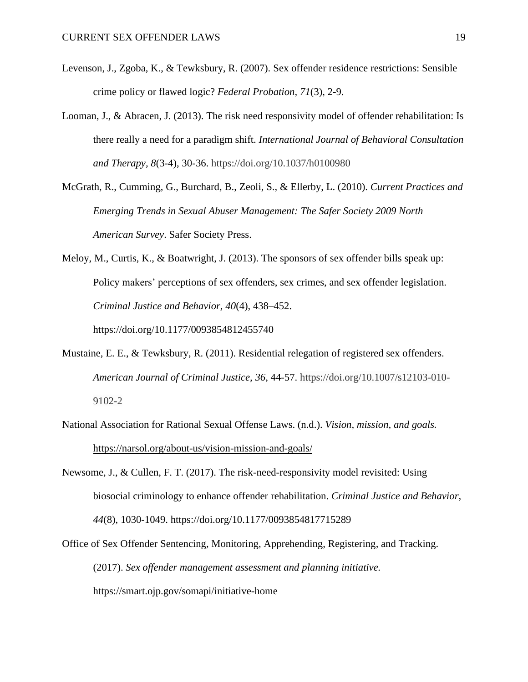- Levenson, J., Zgoba, K., & Tewksbury, R. (2007). Sex offender residence restrictions: Sensible crime policy or flawed logic? *Federal Probation, 71*(3), 2-9.
- Looman, J., & Abracen, J. (2013). The risk need responsivity model of offender rehabilitation: Is there really a need for a paradigm shift. *International Journal of Behavioral Consultation and Therapy, 8*(3-4), 30-36. https://doi.org/10.1037/h0100980
- McGrath, R., Cumming, G., Burchard, B., Zeoli, S., & Ellerby, L. (2010). *Current Practices and Emerging Trends in Sexual Abuser Management: The Safer Society 2009 North American Survey*. Safer Society Press.
- Meloy, M., Curtis, K., & Boatwright, J. (2013). The sponsors of sex offender bills speak up: Policy makers' perceptions of sex offenders, sex crimes, and sex offender legislation. *Criminal Justice and Behavior, 40*(4), 438–452. https://doi.org/10.1177/0093854812455740
- Mustaine, E. E., & Tewksbury, R. (2011). Residential relegation of registered sex offenders. *American Journal of Criminal Justice, 36*, 44-57. https://doi.org/10.1007/s12103-010- 9102-2
- National Association for Rational Sexual Offense Laws. (n.d.). *Vision, mission, and goals.* <https://narsol.org/about-us/vision-mission-and-goals/>
- Newsome, J., & Cullen, F. T. (2017). The risk-need-responsivity model revisited: Using biosocial criminology to enhance offender rehabilitation. *Criminal Justice and Behavior, 44*(8), 1030-1049. https://doi.org/10.1177/0093854817715289
- Office of Sex Offender Sentencing, Monitoring, Apprehending, Registering, and Tracking. (2017). *Sex offender management assessment and planning initiative.*  https://smart.ojp.gov/somapi/initiative-home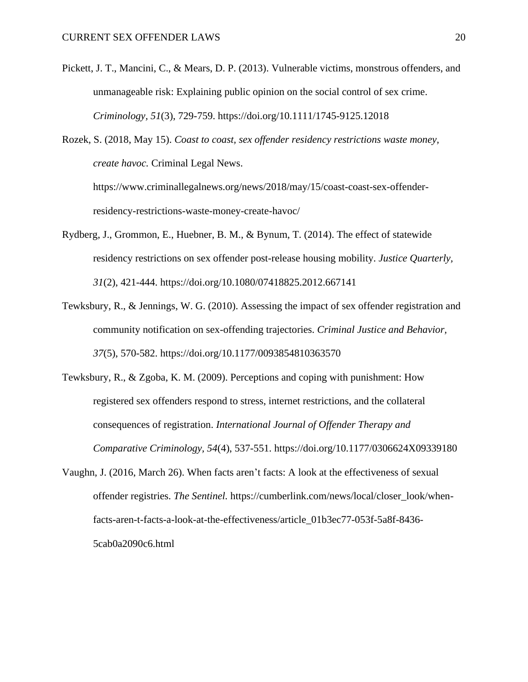Pickett, J. T., Mancini, C., & Mears, D. P. (2013). Vulnerable victims, monstrous offenders, and unmanageable risk: Explaining public opinion on the social control of sex crime. *Criminology, 51*(3), 729-759. https://doi.org/10.1111/1745-9125.12018

Rozek, S. (2018, May 15). *Coast to coast, sex offender residency restrictions waste money, create havoc.* Criminal Legal News. https://www.criminallegalnews.org/news/2018/may/15/coast-coast-sex-offenderresidency-restrictions-waste-money-create-havoc/

- Rydberg, J., Grommon, E., Huebner, B. M., & Bynum, T. (2014). The effect of statewide residency restrictions on sex offender post-release housing mobility. *Justice Quarterly, 31*(2), 421-444. https://doi.org/10.1080/07418825.2012.667141
- Tewksbury, R., & Jennings, W. G. (2010). Assessing the impact of sex offender registration and community notification on sex-offending trajectories. *Criminal Justice and Behavior, 37*(5), 570-582. https://doi.org/10.1177/0093854810363570

Tewksbury, R., & Zgoba, K. M. (2009). Perceptions and coping with punishment: How registered sex offenders respond to stress, internet restrictions, and the collateral consequences of registration. *International Journal of Offender Therapy and Comparative Criminology, 54*(4), 537-551. https://doi.org/10.1177/0306624X09339180

Vaughn, J. (2016, March 26). When facts aren't facts: A look at the effectiveness of sexual offender registries. *The Sentinel.* https://cumberlink.com/news/local/closer\_look/whenfacts-aren-t-facts-a-look-at-the-effectiveness/article\_01b3ec77-053f-5a8f-8436- 5cab0a2090c6.html